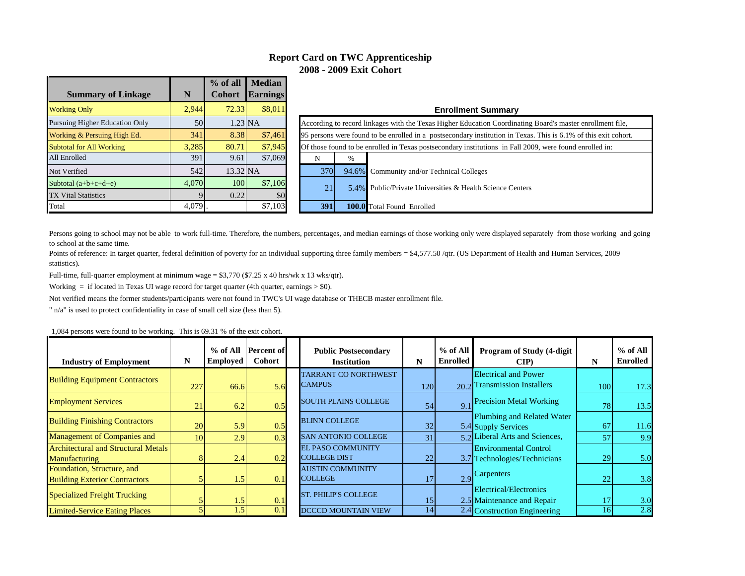### **Report Card on TWC Apprenticeship 2008 - 2009 Exit Cohort**

|                                       |        | $%$ of all       | <b>Median</b>   |                                          |                                                                 |   |                                                                                                                 |  |  |  |  |
|---------------------------------------|--------|------------------|-----------------|------------------------------------------|-----------------------------------------------------------------|---|-----------------------------------------------------------------------------------------------------------------|--|--|--|--|
| <b>Summary of Linkage</b>             |        | <b>Cohort</b>    | <b>Earnings</b> |                                          |                                                                 |   |                                                                                                                 |  |  |  |  |
| <b>Working Only</b>                   | 2.944  | 72.33            | \$8,011         |                                          |                                                                 |   | <b>Enrollment Summary</b>                                                                                       |  |  |  |  |
| <b>Pursuing Higher Education Only</b> | 50     |                  | $1.23$ NA       |                                          |                                                                 |   | According to record linkages with the Texas Higher Education Coordinating Board's master enrollment file.       |  |  |  |  |
| Working & Persuing High Ed.           | 341    | 8.38             | \$7,461         |                                          |                                                                 |   | 95 persons were found to be enrolled in a postsecondary institution in Texas. This is 6.1% of this exit cohort. |  |  |  |  |
| <b>Subtotal for All Working</b>       | 3,285  | 80.71            | \$7,945         |                                          |                                                                 |   | Of those found to be enrolled in Texas postsecondary institutions in Fall 2009, were found enrolled in:         |  |  |  |  |
| All Enrolled                          | 391    | 9.61             | \$7,069         |                                          | N                                                               | % |                                                                                                                 |  |  |  |  |
| Not Verified                          | 542    | $13.32$ NA       |                 |                                          | 370                                                             |   | 94.6% Community and/or Technical Colleges                                                                       |  |  |  |  |
| Subtotal $(a+b+c+d+e)$                | 4.070  | 100 <sup>l</sup> | \$7,106         |                                          | 5.4% Public/Private Universities & Health Science Centers<br>21 |   |                                                                                                                 |  |  |  |  |
| <b>TX Vital Statistics</b>            |        | 0.22             | \$0             |                                          |                                                                 |   |                                                                                                                 |  |  |  |  |
| Total                                 | 4,079. |                  | \$7,103         | 391<br><b>100.0</b> Total Found Enrolled |                                                                 |   |                                                                                                                 |  |  |  |  |

Persons going to school may not be able to work full-time. Therefore, the numbers, percentages, and median earnings of those working only were displayed separately from those working and going to school at the same time.

Points of reference: In target quarter, federal definition of poverty for an individual supporting three family members = \$4,577.50 /qtr. (US Department of Health and Human Services, 2009 statistics).

Full-time, full-quarter employment at minimum wage = \$3,770 (\$7.25 x 40 hrs/wk x 13 wks/qtr).

Working  $=$  if located in Texas UI wage record for target quarter (4th quarter, earnings  $>$  \$0).

Not verified means the former students/participants were not found in TWC's UI wage database or THECB master enrollment file.

" n/a" is used to protect confidentiality in case of small cell size (less than 5).

1,084 persons were found to be working. This is 69.31 % of the exit cohort.

| <b>Industry of Employment</b>              | N   | $%$ of All<br><b>Employed</b> | <b>Percent of</b><br><b>Cohort</b> |  | <b>Public Postsecondary</b><br><b>Institution</b> | N    | $%$ of All<br><b>Enrolled</b>  | <b>Program of Study (4-digit)</b><br>$\mathbf{CIP}$ | N    | $%$ of All<br><b>Enrolled</b> |
|--------------------------------------------|-----|-------------------------------|------------------------------------|--|---------------------------------------------------|------|--------------------------------|-----------------------------------------------------|------|-------------------------------|
| <b>Building Equipment Contractors</b>      |     |                               |                                    |  | <b>TARRANT CO NORTHWEST</b>                       |      |                                | <b>Electrical and Power</b>                         |      |                               |
|                                            | 227 | 66.6                          | <b>CAMPUS</b><br>5.6               |  | 120                                               | 20.2 | <b>Transmission Installers</b> | 100                                                 | 17.3 |                               |
| <b>Employment Services</b>                 | 21  | 6.2                           | 0.5                                |  | <b>SOUTH PLAINS COLLEGE</b>                       | 54   | 9.1                            | <b>Precision Metal Working</b>                      | 78   | 13.5                          |
| <b>Building Finishing Contractors</b>      | 20  | 5.9                           | 0.5                                |  | <b>BLINN COLLEGE</b>                              | 32   |                                | Plumbing and Related Water<br>5.4 Supply Services   | 67   | 11.6                          |
| Management of Companies and                | 10  | 2.9                           | 0.3                                |  | <b>SAN ANTONIO COLLEGE</b>                        | 31   |                                | 5.2 Liberal Arts and Sciences,                      | 57   | 9.9                           |
| <b>Architectural and Structural Metals</b> |     |                               |                                    |  | <b>EL PASO COMMUNITY</b>                          |      |                                | <b>Environmental Control</b>                        |      |                               |
| <b>Manufacturing</b>                       |     | 2.4                           | 0.2                                |  | <b>COLLEGE DIST</b>                               | 22   |                                | 3.7 Technologies/Technicians                        | 29   | 5.0                           |
| Foundation, Structure, and                 |     |                               |                                    |  | <b>AUSTIN COMMUNITY</b>                           |      |                                | Carpenters                                          |      |                               |
| <b>Building Exterior Contractors</b>       |     | 1.5                           | 0.1                                |  | <b>COLLEGE</b>                                    |      | 2.9                            |                                                     | 22   | 3.8                           |
| <b>Specialized Freight Trucking</b>        |     |                               |                                    |  | <b>ST. PHILIP'S COLLEGE</b>                       |      |                                | Electrical/Electronics                              |      |                               |
|                                            |     | 1.5                           | 0.1                                |  |                                                   | 15   |                                | 2.5 Maintenance and Repair                          |      | 3.0                           |
| <b>Limited-Service Eating Places</b>       |     | 1.5                           | $\overline{0.1}$                   |  | <b>DCCCD MOUNTAIN VIEW</b>                        | 14   |                                | 2.4 Construction Engineering                        | 161  | $\overline{2.8}$              |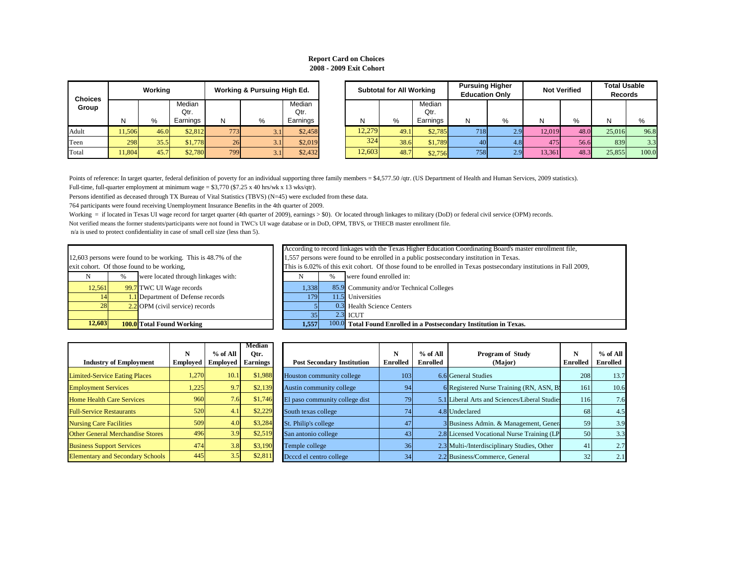|        |               |                                                        |                                                                                                     |               | According to record linkages with the Texas Higher Education Coordinating Board's master enror |  |  |  |  |
|--------|---------------|--------------------------------------------------------|-----------------------------------------------------------------------------------------------------|---------------|------------------------------------------------------------------------------------------------|--|--|--|--|
|        |               | persons were found to be working. This is 48.7% of the | 1,557 persons were found to be enrolled in a public postsecondary institution in Texas.             |               |                                                                                                |  |  |  |  |
|        |               | hort. Of those found to be working,                    | This is 6.02% of this exit cohort. Of those found to be enrolled in Texas postsecondary institution |               |                                                                                                |  |  |  |  |
|        | $\frac{0}{0}$ | were located through linkages with:                    |                                                                                                     | $\frac{0}{0}$ | were found enrolled in:                                                                        |  |  |  |  |
| 12,561 |               | 99.7 TWC UI Wage records                               | 1,338                                                                                               |               | 85.9 Community and/or Technical Colleges                                                       |  |  |  |  |
| 14     |               | 1.1 Department of Defense records                      | 1791                                                                                                |               | 11.5 Universities                                                                              |  |  |  |  |
| 28     |               | $2.2$ OPM (civil service) records                      |                                                                                                     |               | 0.3 Health Science Centers                                                                     |  |  |  |  |
|        |               |                                                        |                                                                                                     |               |                                                                                                |  |  |  |  |

|        |              |                             |                  | - -   | <b>ICUT</b>                                                                                   |
|--------|--------------|-----------------------------|------------------|-------|-----------------------------------------------------------------------------------------------|
| 12,603 | 100.<br>.olt | l Working<br>Total<br>Found | E E EL<br>1.JJ 1 | 100.0 | Total <sub>1</sub><br>l Found Enrolled in a Postsecondary<br>l'exas.<br><b>Institution in</b> |

| <b>Choices</b> |        | Working |                | <b>Working &amp; Pursuing High Ed.</b> |     |                |  |  |  |  |
|----------------|--------|---------|----------------|----------------------------------------|-----|----------------|--|--|--|--|
| Group          |        |         | Median<br>Qtr. |                                        |     | Median<br>Qtr. |  |  |  |  |
|                | Ν      | %       | Earnings       | N                                      | %   | Earnings       |  |  |  |  |
| Adult          | 11,506 | 46.0    | \$2,812        | 773                                    | 3.1 | \$2,458        |  |  |  |  |
| Teen           | 298    | 35.5    | \$1,778        | 26                                     | 3.1 | \$2,019        |  |  |  |  |
| Total          | 11,804 | 45.7    | \$2,780        | 799                                    | 3.1 | \$2,432        |  |  |  |  |

| <b>Choices</b> |        | Working |                            | <b>Working &amp; Pursuing High Ed.</b> |     |                            | <b>Subtotal for All Working</b> |      |                            | <b>Pursuing Higher</b><br><b>Education Only</b> |     | <b>Not Verified</b> |      | <b>Total Usable</b><br><b>Records</b> |       |
|----------------|--------|---------|----------------------------|----------------------------------------|-----|----------------------------|---------------------------------|------|----------------------------|-------------------------------------------------|-----|---------------------|------|---------------------------------------|-------|
| Group          | N      | ℅       | Median<br>Qtr.<br>Earnings | N                                      | %   | Median<br>Qtr.<br>Earnings | N                               | %    | Median<br>Qtr.<br>Earnings |                                                 | %   |                     | %    |                                       | %     |
| Adult          | 11,506 | 46.0    | \$2,812                    | 773                                    | 3.1 | \$2,458                    | 12,279                          | 49.1 | \$2,785                    | 718                                             | 2.9 | 12,019              | 48.0 | 25,016                                | 96.8  |
| Teen           | 298    | 35.5    | \$1,778                    | 26                                     | 3.1 | \$2,019                    | 324                             | 38.6 | \$1,789                    | 40                                              | 4.8 | 475                 | 56.6 | 839                                   | 3.3   |
| Total          | 1,804  | 45.7    | \$2,780                    | 799                                    | 3.1 | \$2,432                    | 12,603                          | 48.7 | \$2,756                    | 758                                             | 2.9 | 13,361              | 48.3 | 25,855                                | 100.0 |

Points of reference: In target quarter, federal definition of poverty for an individual supporting three family members = \$4,577.50 /qtr. (US Department of Health and Human Services, 2009 statistics). Full-time, full-quarter employment at minimum wage = \$3,770 (\$7.25 x 40 hrs/wk x 13 wks/qtr).

Persons identified as deceased through TX Bureau of Vital Statistics (TBVS) (N=45) were excluded from these data.

764 participants were found receiving Unemployment Insurance Benefits in the 4th quarter of 2009.

| 12,603 |      | <b>100.0</b> Total Found Working                              | 1,557                                            |   | 100.0 Total Found Enrolled                    |  |  |  |
|--------|------|---------------------------------------------------------------|--------------------------------------------------|---|-----------------------------------------------|--|--|--|
|        |      |                                                               | 35                                               |   | $2.3$ ICUT                                    |  |  |  |
| 28     |      | $2.2$ OPM (civil service) records                             |                                                  |   | 0.3 Health Science Centers                    |  |  |  |
| 14     |      | <b>1.1</b> Department of Defense records                      | 179                                              |   | 11.5 Universities                             |  |  |  |
| 12,561 |      | 99.7 TWC UI Wage records                                      | 1,338                                            |   | 85.9 Community and/or Tec                     |  |  |  |
| N      | $\%$ | were located through linkages with:                           |                                                  | % | were found enrolled in:                       |  |  |  |
|        |      | exit cohort. Of those found to be working,                    | This is 6.02% of this exit cohort. Of those four |   |                                               |  |  |  |
|        |      | 12,603 persons were found to be working. This is 48.7% of the | 1,557 persons were found to be enrolled in a pu  |   |                                               |  |  |  |
|        |      |                                                               |                                                  |   | According to record linkages with the Texas H |  |  |  |

# **Report Card on Choices 2008 - 2009 Exit Cohort**

Not verified means the former students/participants were not found in TWC's UI wage database or in DoD, OPM, TBVS, or THECB master enrollment file. Working = if located in Texas UI wage record for target quarter (4th quarter of 2009), earnings > \$0). Or located through linkages to military (DoD) or federal civil service (OPM) records. n/a is used to protect confidentiality in case of small cell size (less than 5).

| oyed  | $%$ of All<br><b>Employed</b> | <b>Median</b><br>Otr.<br><b>Earnings</b> | <b>Post Secondary Institution</b> | N<br><b>Enrolled</b> | $%$ of All<br><b>Enrolled</b> | <b>Program of Study</b><br>(Major)            | N<br><b>Enrolled</b> | $%$ of All<br><b>Enrolled</b> |
|-------|-------------------------------|------------------------------------------|-----------------------------------|----------------------|-------------------------------|-----------------------------------------------|----------------------|-------------------------------|
| 1,270 | 10.1                          | \$1,988                                  | Houston community college         | 103                  |                               | 6.6 General Studies                           | 208                  | 13.7                          |
| 1,225 | 9.7                           | \$2,139                                  | Austin community college          | 94                   |                               | 6 Registered Nurse Training (RN, ASN, B.      | 161                  | 10.6                          |
| 960   | 7.6                           | \$1,746                                  | El paso community college dist    | 79                   |                               | 5.1 Liberal Arts and Sciences/Liberal Studies | <b>116</b>           | 7.6                           |
| 520   | 4.1                           | \$2,229                                  | South texas college               | 74                   |                               | 4.8 Undeclared                                | 68                   | 4.5                           |
| 509   | 4.0                           | \$3,284                                  | St. Philip's college              | 47                   |                               | 3 Business Admin. & Management, Genera        | 59                   | 3.9                           |
| 496   | 3.9                           | \$2,519                                  | San antonio college               | 43                   |                               | 2.8 Licensed Vocational Nurse Training (LP)   | 50                   | 3.3                           |
| 474   | 3.8                           | \$3,190                                  | Temple college                    | 36                   |                               | 2.3 Multi-/Interdisciplinary Studies, Other   | 41                   | 2.7                           |
| 445   | 3.5                           | \$2,811                                  | Deced el centro college           | 34                   |                               | 2.2 Business/Commerce, General                | 32                   | 2.1                           |

bllment file,

ons in Fall 2009,

|                                         |                 |                 | <b>Median</b>   |                    |
|-----------------------------------------|-----------------|-----------------|-----------------|--------------------|
|                                         | N               | $%$ of All      | Otr.            |                    |
| <b>Industry of Employment</b>           | <b>Employed</b> | <b>Employed</b> | <b>Earnings</b> | <b>Post Second</b> |
| <b>Limited-Service Eating Places</b>    | 1,270           | 10.1            | \$1,988         | Houston comm       |
| <b>Employment Services</b>              | 1,225           | 9.7             | \$2,139         | Austin commun      |
| <b>Home Health Care Services</b>        | 960             | 7.6             | \$1,746         | El paso commu      |
| <b>Full-Service Restaurants</b>         | 520             | 4.1             | \$2,229         | South texas col    |
| <b>Nursing Care Facilities</b>          | 509             | 4.0             | \$3,284         | St. Philip's colle |
| <b>Other General Merchandise Stores</b> | 496             | 3.9             | \$2,519         | San antonio col    |
| <b>Business Support Services</b>        | 474             | 3.8             | \$3,190         | Temple college     |
| <b>Elementary and Secondary Schools</b> | 445             | 3.5             | \$2,811         | Deced el centro    |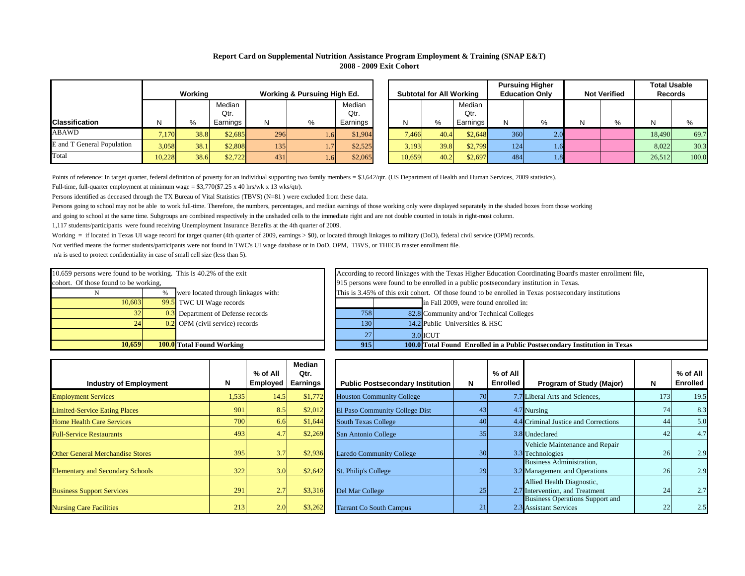| ıh Ed.   | <b>Subtotal for All Working</b> |      |          |     | <b>Pursuing Higher</b><br><b>Education Only</b> |   | <b>Not Verified</b> | <b>Total Usable</b><br><b>Records</b> |       |  |
|----------|---------------------------------|------|----------|-----|-------------------------------------------------|---|---------------------|---------------------------------------|-------|--|
| Median   |                                 |      | Median   |     |                                                 |   |                     |                                       |       |  |
| Qtr.     |                                 |      | Qtr.     |     |                                                 |   |                     |                                       |       |  |
| Earnings | N                               | %    | Earnings | N   | %                                               | Ν | $\%$                | N                                     | %     |  |
| \$1,904  | 7,466                           | 40.4 | \$2,648  | 360 | 2.0                                             |   |                     | 18,490                                | 69.7  |  |
| \$2,525  | 3,193                           | 39.8 | \$2,799  | 124 | 1.6                                             |   |                     | 8,022                                 | 30.3  |  |
| \$2,065  | 10,659                          | 40.2 | \$2,697  | 484 | 1.8                                             |   |                     | 26,512                                | 100.0 |  |

Points of reference: In target quarter, federal definition of poverty for an individual supporting two family members = \$3,642/qtr. (US Department of Health and Human Services, 2009 statistics). Full-time, full-quarter employment at minimum wage =  $$3,770$ (\$7.25 x 40 hrs/wk x 13 wks/qtr).

Not verified means the former students/participants were not found in TWC's UI wage database or in DoD, OPM, TBVS, or THECB master enrollment file.

Persons identified as deceased through the TX Bureau of Vital Statistics (TBVS) (N=81) were excluded from these data.

Persons going to school may not be able to work full-time. Therefore, the numbers, percentages, and median earnings of those working only were displayed separately in the shaded boxes from those working and going to school at the same time. Subgroups are combined respectively in the unshaded cells to the immediate right and are not double counted in totals in right-most column.

n/a is used to protect confidentiality in case of small cell size (less than 5).

|                            | Working<br><b>Working &amp; Pursuing High Ed.</b> |      |                |     |      |                |  |        | <b>Subtotal for All Working</b> |                |     | <b>Pursuing Higher</b><br><b>Education Only</b> | <b>Not Verified</b> |  | <b>Total Usable</b><br><b>Records</b> |       |
|----------------------------|---------------------------------------------------|------|----------------|-----|------|----------------|--|--------|---------------------------------|----------------|-----|-------------------------------------------------|---------------------|--|---------------------------------------|-------|
|                            |                                                   |      | Median<br>Qtr. |     |      | Median<br>Qtr. |  |        |                                 | Median<br>Qtr. |     |                                                 |                     |  |                                       |       |
| <b>Classification</b>      | Ν                                                 | %    | Earnings       | N   | $\%$ | Earnings       |  | N      | %                               | Earnings       | N   | %                                               |                     |  |                                       |       |
| <b>ABAWD</b>               | 7,170                                             | 38.8 | \$2,685        | 296 | 1.61 | \$1,904        |  | 7,466  | 40.4                            | \$2,648        | 360 | 2.0 <sup> </sup>                                |                     |  | 18,490                                | 69.7  |
| E and T General Population | 3,058                                             | 38.1 | \$2,808        | 135 |      | \$2,525        |  | 3,193  | 39.8                            | \$2,799        | 124 | 4.6V                                            |                     |  | 8,022                                 | 30.3  |
| Total                      | 10,228                                            | 38.6 | \$2,722        | 431 | 1.61 | \$2,065        |  | 10,659 | 40.2                            | \$2,697        | 484 | 1.81                                            |                     |  | 26,512                                | 100.0 |

| 10,659                                                             |      | <b>100.0</b> Total Found Working             | 915          |
|--------------------------------------------------------------------|------|----------------------------------------------|--------------|
|                                                                    |      |                                              | 27           |
| 24                                                                 |      | $\overline{0.2}$ OPM (civil service) records | 130          |
| 32                                                                 |      | 0.3 Department of Defense records            | 758          |
| 10,603                                                             |      | 99.5 TWC UI Wage records                     |              |
|                                                                    | $\%$ | were located through linkages with:          | This is 3.45 |
| cohort. Of those found to be working,                              |      |                                              | 915 persons  |
| 10.659 persons were found to be working. This is 40.2% of the exit |      |                                              | According to |

27 82.8 Community and/or Technical Colleges 14.2 Public Universities & HSC This is 3.45% of this exit cohort. Of those found to be enrolled in Texas postsecondary institutions 915 persons were found to be enrolled in a public postsecondary institution in Texas. **100.0 Total Found Enrolled in a Public Postsecondary Institution in Texas** According to record linkages with the Texas Higher Education Coordinating Board's master enrollment file, in Fall 2009, were found enrolled in: 3.0 ICUT

| <b>Industry of Employment</b>           | N     | % of All<br><b>Employed</b> | <b>Median</b><br>Qtr.<br><b>Earnings</b> | <b>Public Postsec</b>     |
|-----------------------------------------|-------|-----------------------------|------------------------------------------|---------------------------|
| <b>Employment Services</b>              | 1,535 | 14.5                        | \$1,772                                  | <b>Houston Communi</b>    |
| <b>Limited-Service Eating Places</b>    | 901   | 8.5                         | \$2,012                                  | El Paso Communit          |
| <b>Home Health Care Services</b>        | 700   | 6.6                         | \$1,644                                  | <b>South Texas Colley</b> |
| <b>Full-Service Restaurants</b>         | 493   | 4.7                         | \$2,269                                  | San Antonio Colle         |
| <b>Other General Merchandise Stores</b> | 395   | 3.7                         | \$2,936                                  | <b>Laredo Community</b>   |
| <b>Elementary and Secondary Schools</b> | 322   | 3.0                         | \$2,642                                  | St. Philip's College      |
| <b>Business Support Services</b>        | 291   | 2.7                         | \$3,316                                  | Del Mar College           |
| <b>Nursing Care Facilities</b>          | 213   | 2.0                         | \$3,262                                  | <b>Tarrant Co South (</b> |

# **Report Card on Supplemental Nutrition Assistance Program Employment & Training (SNAP E&T) 2008 - 2009 Exit Cohort**

|       | % of All<br><b>Employed</b> | <b>Median</b><br>Qtr.<br><b>Earnings</b> | <b>Public Postsecondary Institution</b> | N  | % of All<br><b>Enrolled</b> | <b>Program of Study (Major)</b>                                  | N   | $%$ of All<br><b>Enrolled</b> |
|-------|-----------------------------|------------------------------------------|-----------------------------------------|----|-----------------------------|------------------------------------------------------------------|-----|-------------------------------|
| 1,535 | 14.5                        | \$1,772                                  | <b>Houston Community College</b>        | 70 |                             | 7.7 Liberal Arts and Sciences,                                   | 173 | 19.5                          |
| 901   | 8.5                         | \$2,012                                  | El Paso Community College Dist          | 43 |                             | 4.7 Nursing                                                      | 74  | 8.3                           |
| 700   | 6.6                         | \$1,644                                  | <b>South Texas College</b>              | 40 |                             | 4.4 Criminal Justice and Corrections                             | 44  | 5.0                           |
| 493   | 4.7                         | \$2,269                                  | San Antonio College                     | 35 |                             | 3.8 Undeclared                                                   | 42  | 4.7                           |
| 395   | 3.7                         | \$2,936                                  | <b>Laredo Community College</b>         | 30 |                             | Vehicle Maintenance and Repair<br>3.3 Technologies               | 26  | 2.9                           |
| 322   | 3.0                         | \$2,642                                  | <b>St. Philip's College</b>             | 29 |                             | <b>Business Administration,</b><br>3.2 Management and Operations | 26  | 2.9                           |
| 291   | 2.7                         | \$3,316                                  | Del Mar College                         | 25 |                             | Allied Health Diagnostic,<br>2.7 Intervention, and Treatment     | 24  | 2.7                           |
| 213   | 2.0                         | \$3,262                                  | <b>Tarrant Co South Campus</b>          | 21 |                             | <b>Business Operations Support and</b><br>2.3 Assistant Services | 22  | 2.5                           |

1,117 students/participants were found receiving Unemployment Insurance Benefits at the 4th quarter of 2009.

Working = if located in Texas UI wage record for target quarter (4th quarter of 2009, earnings > \$0), or located through linkages to military (DoD), federal civil service (OPM) records.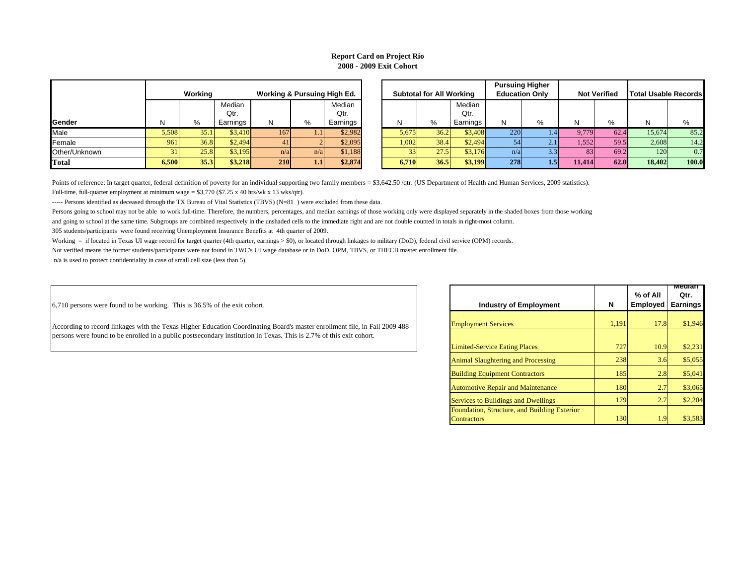Persons going to school may not be able to work full-time. Therefore, the numbers, percentages, and median earnings of those working only were displayed separately in the shaded boxes from those working and going to school at the same time. Subgroups are combined respectively in the unshaded cells to the immediate right and are not double counted in totals in right-most column.

Not verified means the former students/participants were not found in TWC's UI wage database or in DoD, OPM, TBVS, or THECB master enrollment file.

n/a is used to protect confidentiality in case of small cell size (less than 5).

6,710 persons were found to be working. This is 36.5% of the exit cohort.

|               |              |         |          |                                        |     |          |                                 |      |          |                       | <b>Pursuing Higher</b> |        |                     |                             |       |
|---------------|--------------|---------|----------|----------------------------------------|-----|----------|---------------------------------|------|----------|-----------------------|------------------------|--------|---------------------|-----------------------------|-------|
|               |              | Working |          | <b>Working &amp; Pursuing High Ed.</b> |     |          | <b>Subtotal for All Working</b> |      |          | <b>Education Only</b> |                        |        | <b>Not Verified</b> | <b>Total Usable Records</b> |       |
|               |              |         | Median   |                                        |     | Median   |                                 |      | Median   |                       |                        |        |                     |                             |       |
|               |              |         | Qtr.     |                                        |     | Qtr.     |                                 |      | Qtr.     |                       |                        |        |                     |                             |       |
| Gender        | $\mathsf{N}$ | %       | Earnings |                                        | %   | Earnings |                                 | %    | Earnings | N.                    | %                      | N      | %                   | N                           | %     |
| Male          | 5,508        | 35.1    | \$3,410  | 167                                    |     | \$2,982  | 5,675                           | 36.2 | \$3,408  | 220                   |                        | 9,779  | 62.4                | 15,674                      | 85.2  |
| Female        | 961          | 36.8    | \$2,494  | 41                                     |     | \$2,095  | 1,002                           | 38.4 | \$2,494  |                       | 2.1                    | 1,552V | 59.5                | 2,608                       | 14.2  |
| Other/Unknown |              | 25.8    | \$3,195  | n/a                                    | n/a | \$1,188  |                                 | 27.5 | \$3,176  | n/a                   | 3.3 <sub>h</sub>       |        | 69.2                | 120                         | 0.7   |
| <b>Total</b>  | 6,500        | 35.3    | \$3,218  | 210                                    | 1.1 | \$2,874  | 6,710                           | 36.5 | \$3,199  | 278                   | l.5                    | 11,414 | 62.0                | 18,402                      | 100.0 |

|               |       | Working |          | <b>Working &amp; Pursuing High Ed.</b> |     |          |       | <b>Subtotal for All Working</b> |          | <b>Pursuing Higher</b><br><b>Education Only</b> |   |
|---------------|-------|---------|----------|----------------------------------------|-----|----------|-------|---------------------------------|----------|-------------------------------------------------|---|
|               |       |         | Median   |                                        |     | Median   |       |                                 | Median   |                                                 |   |
|               |       |         | Qtr.     |                                        |     | Qtr.     |       |                                 | Qtr.     |                                                 |   |
| Gender        | N     | %       | Earnings | N                                      | %   | Earnings | N     | %                               | Earnings | N                                               | % |
| Male          | 5,508 | 35.1    | \$3,410  | 167                                    | 1.1 | \$2,982  | 5,675 | 36.2                            | \$3,408  | 220                                             |   |
| Female        | 961   | 36.8    | \$2,494  | 41                                     |     | \$2,095  | 1,002 | 38.4                            | \$2,494  | 54                                              |   |
| Other/Unknown | 31    | 25.8    | \$3,195  | n/a                                    | n/a | \$1,188  | 33    | 27.5                            | \$3,176  | n/a                                             |   |
| <b>Total</b>  | 6,500 | 35.3    | \$3,218  | <b>210</b>                             | 1.1 | \$2,874  | 6,710 | 36.5                            | \$3,199  | 278                                             |   |

Points of reference: In target quarter, federal definition of poverty for an individual supporting two family members = \$3,642.50 /qtr. (US Department of Health and Human Services, 2009 statistics). Full-time, full-quarter employment at minimum wage =  $$3,770$  (\$7.25 x 40 hrs/wk x 13 wks/qtr).

----- Persons identified as deceased through the TX Bureau of Vital Statistics (TBVS) (N=81) were excluded from these data.

305 students/participants were found receiving Unemployment Insurance Benefits at 4th quarter of 2009.

Working = if located in Texas UI wage record for target quarter (4th quarter, earnings > \$0), or located through linkages to military (DoD), federal civil service (OPM) records.

| <b>Industry of Employment</b>                       | N     | % of All<br><b>Employed</b> | <u>iviedian</u><br>Qtr.<br><b>Earnings</b> |
|-----------------------------------------------------|-------|-----------------------------|--------------------------------------------|
| <b>Employment Services</b>                          | 1,191 | 17.8                        | \$1,946                                    |
|                                                     |       |                             |                                            |
| <b>Limited-Service Eating Places</b>                | 727   | 10.9                        | \$2,231                                    |
| <b>Animal Slaughtering and Processing</b>           | 238   | 3.6                         | \$5,055                                    |
| <b>Building Equipment Contractors</b>               | 185   | 2.8                         | \$5,041                                    |
| <b>Automotive Repair and Maintenance</b>            | 180   | 2.7                         | \$3,065                                    |
| <b>Services to Buildings and Dwellings</b>          | 179   | 2.7                         | \$2,204                                    |
| <b>Foundation, Structure, and Building Exterior</b> |       |                             |                                            |
| Contractors                                         | 130   | 1.9                         | \$3,583                                    |

# **Report Card on Project Rio 2008 - 2009 Exit Cohort**

According to record linkages with the Texas Higher Education Coordinating Board's master enrollment file, in Fall 2009 488 persons were found to be enrolled in a public postsecondary institution in Texas. This is 2.7% of this exit cohort.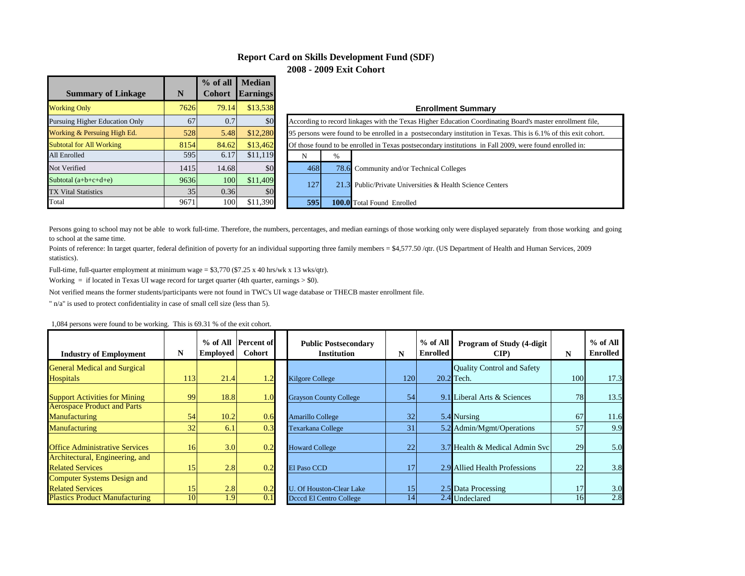### **Report Card on Skills Development Fund (SDF) 2008 - 2009 Exit Cohort**

| <b>Summary of Linkage</b>       | N    | $%$ of all<br><b>Cohort</b> | <b>Median</b><br><b>Earnings</b> |                       |                      |  |  |
|---------------------------------|------|-----------------------------|----------------------------------|-----------------------|----------------------|--|--|
| <b>Working Only</b>             | 7626 | 79.14                       | \$13,538                         |                       |                      |  |  |
| Pursuing Higher Education Only  | 67   | 0.7                         | \$0                              | According to record 1 |                      |  |  |
| Working & Persuing High Ed.     | 528  | 5.48                        | \$12,280                         |                       | 95 persons were foun |  |  |
| <b>Subtotal for All Working</b> | 8154 | 84.62                       | \$13,462                         |                       | Of those found to be |  |  |
| All Enrolled                    | 595  | 6.17                        | \$11,119                         | N                     | %                    |  |  |
| Not Verified                    | 1415 | 14.68                       | \$0                              | 468                   | 78.6                 |  |  |
| Subtotal $(a+b+c+d+e)$          | 9636 | 100                         | \$11,409                         | 127                   | 21.3                 |  |  |
| <b>TX Vital Statistics</b>      | 35   | 0.36                        | \$0                              |                       |                      |  |  |
| Total                           | 9671 | 100                         | \$11,390                         | 595                   | 100.0                |  |  |

#### **Enrollment Summary**

|            |                                                                                                                 | According to record linkages with the Texas Higher Education Coordinating Board's master enrollment file, |  |  |  |  |  |  |  |  |  |
|------------|-----------------------------------------------------------------------------------------------------------------|-----------------------------------------------------------------------------------------------------------|--|--|--|--|--|--|--|--|--|
|            | 95 persons were found to be enrolled in a postsecondary institution in Texas. This is 6.1% of this exit cohort. |                                                                                                           |  |  |  |  |  |  |  |  |  |
|            | Of those found to be enrolled in Texas postsecondary institutions in Fall 2009, were found enrolled in:         |                                                                                                           |  |  |  |  |  |  |  |  |  |
| N          | $\%$                                                                                                            |                                                                                                           |  |  |  |  |  |  |  |  |  |
| 468        |                                                                                                                 | 78.6 Community and/or Technical Colleges                                                                  |  |  |  |  |  |  |  |  |  |
| 127        |                                                                                                                 | 21.3 Public/Private Universities & Health Science Centers                                                 |  |  |  |  |  |  |  |  |  |
| <b>595</b> |                                                                                                                 | <b>100.0</b> Total Found Enrolled                                                                         |  |  |  |  |  |  |  |  |  |

Persons going to school may not be able to work full-time. Therefore, the numbers, percentages, and median earnings of those working only were displayed separately from those working and going to school at the same time.

Points of reference: In target quarter, federal definition of poverty for an individual supporting three family members = \$4,577.50 /qtr. (US Department of Health and Human Services, 2009 statistics).

Full-time, full-quarter employment at minimum wage =  $$3,770$  ( $$7.25 \times 40$  hrs/wk x 13 wks/qtr).

Working  $=$  if located in Texas UI wage record for target quarter (4th quarter, earnings  $>$  \$0).

Not verified means the former students/participants were not found in TWC's UI wage database or THECB master enrollment file.

" n/a" is used to protect confidentiality in case of small cell size (less than 5).

| <b>Industry of Employment</b>         | N   | Employed         | % of All Percent of<br><b>Cohort</b> | <b>Public Postsecondary</b><br><b>Institution</b> | N   | % of All<br><b>Enrolled</b> | Program of Study (4-digit<br>CIP  | N   | $%$ of All<br><b>Enrolled</b> |
|---------------------------------------|-----|------------------|--------------------------------------|---------------------------------------------------|-----|-----------------------------|-----------------------------------|-----|-------------------------------|
| <b>General Medical and Surgical</b>   |     |                  |                                      |                                                   |     |                             | <b>Quality Control and Safety</b> |     |                               |
| <b>Hospitals</b>                      | 113 | 21.4             | 1.2                                  | <b>Kilgore College</b>                            | 120 |                             | $20.2$ Tech.                      | 100 | 17.3                          |
| <b>Support Activities for Mining</b>  | 99  | 18.8             | 1.0                                  | <b>Grayson County College</b>                     | 54  |                             | 9.1 Liberal Arts & Sciences       | 78  | 13.5                          |
| <b>Aerospace Product and Parts</b>    |     | 10.2             |                                      |                                                   | 32  |                             | 5.4 Nursing                       | 67  |                               |
| <b>Manufacturing</b>                  | 54  |                  | 0.6                                  | <b>Amarillo College</b>                           |     |                             |                                   |     | 11.6                          |
| <b>Manufacturing</b>                  | 32  | 6.1              | 0.3                                  | <b>Texarkana College</b>                          | 31  |                             | 5.2 Admin/Mgmt/Operations         | 57  | 9.9                           |
| <b>Office Administrative Services</b> | 16  | 3.0              | 0.2                                  | <b>Howard College</b>                             | 22  |                             | 3.7 Health & Medical Admin Svc    | 29  | 5.0                           |
| Architectural, Engineering, and       |     |                  |                                      |                                                   |     |                             |                                   |     |                               |
| <b>Related Services</b>               | 15  | $\overline{2.8}$ | 0.2                                  | <b>El Paso CCD</b>                                |     |                             | 2.9 Allied Health Professions     | 22  | 3.8                           |
| <b>Computer Systems Design and</b>    |     |                  |                                      |                                                   |     |                             |                                   |     |                               |
| <b>Related Services</b>               | 15  | 2.8              | 0.2                                  | . Of Houston-Clear Lake                           | 15  |                             | 2.5 Data Processing               | 17  | 3.0                           |
| <b>Plastics Product Manufacturing</b> | 10  | .9               | 0.1                                  | Deced El Centro College                           | 14  |                             | 2.4 Undeclared                    | 16  | 2.8                           |

1,084 persons were found to be working. This is 69.31 % of the exit cohort.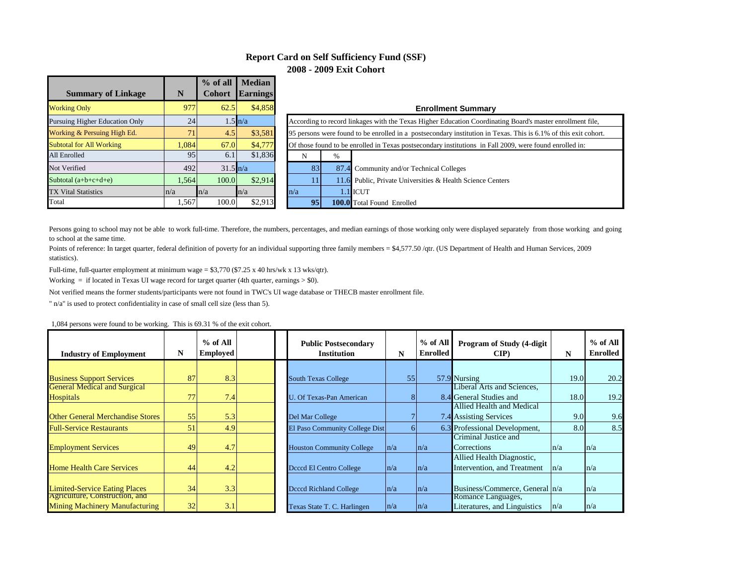### **Report Card on Self Sufficiency Fund (SSF) 2008 - 2009 Exit Cohort**

|                                       |       | % of all           | <b>Median</b>     |                       |                      |  |  |
|---------------------------------------|-------|--------------------|-------------------|-----------------------|----------------------|--|--|
| <b>Summary of Linkage</b>             | N     | <b>Cohort</b>      | <b>Earnings</b>   |                       |                      |  |  |
| <b>Working Only</b>                   | 977   | 62.5               | \$4,858           |                       |                      |  |  |
| <b>Pursuing Higher Education Only</b> | 24    |                    | $1.5 \text{ h/a}$ | According to record 1 |                      |  |  |
| Working & Persuing High Ed.           | 71    | 4.5                | \$3,581           |                       | 95 persons were foun |  |  |
| <b>Subtotal for All Working</b>       | 1.084 | 67.0               | \$4,777           | Of those found to be  |                      |  |  |
| All Enrolled                          | 95    | 6.1                | \$1,836           | N                     | $\%$                 |  |  |
| Not Verified                          | 492   | $31.5 \text{ h/a}$ |                   | 83                    | 87.4                 |  |  |
| Subtotal $(a+b+c+d+e)$                | 1,564 | 100.0              | \$2,914           | 11                    | 11.6                 |  |  |
| <b>TX Vital Statistics</b>            | n/a   | n/a                | n/a               | n/a                   | 1.1                  |  |  |
| Total                                 | 1,567 | 100.0              | \$2,913           | 95                    | 100.0                |  |  |

### **Enrollment Summary**

|                                                                                                                 | According to record linkages with the Texas Higher Education Coordinating Board's master enrollment file, |                                                            |  |  |  |  |  |  |  |  |
|-----------------------------------------------------------------------------------------------------------------|-----------------------------------------------------------------------------------------------------------|------------------------------------------------------------|--|--|--|--|--|--|--|--|
| 95 persons were found to be enrolled in a postsecondary institution in Texas. This is 6.1% of this exit cohort. |                                                                                                           |                                                            |  |  |  |  |  |  |  |  |
|                                                                                                                 | Of those found to be enrolled in Texas postsecondary institutions in Fall 2009, were found enrolled in:   |                                                            |  |  |  |  |  |  |  |  |
| N                                                                                                               | $\%$                                                                                                      |                                                            |  |  |  |  |  |  |  |  |
| 83                                                                                                              |                                                                                                           | 87.4 Community and/or Technical Colleges                   |  |  |  |  |  |  |  |  |
| 11                                                                                                              |                                                                                                           | 11.6 Public, Private Universities & Health Science Centers |  |  |  |  |  |  |  |  |
| n/a                                                                                                             |                                                                                                           | $1.1$ ICUT                                                 |  |  |  |  |  |  |  |  |
| 95                                                                                                              |                                                                                                           | <b>100.0</b> Total Found Enrolled                          |  |  |  |  |  |  |  |  |

Persons going to school may not be able to work full-time. Therefore, the numbers, percentages, and median earnings of those working only were displayed separately from those working and going to school at the same time.

Points of reference: In target quarter, federal definition of poverty for an individual supporting three family members = \$4,577.50 /qtr. (US Department of Health and Human Services, 2009 statistics).

Full-time, full-quarter employment at minimum wage =  $$3,770$  ( $$7.25 \times 40$  hrs/wk x 13 wks/qtr).

Working  $=$  if located in Texas UI wage record for target quarter (4th quarter, earnings  $>$  \$0).

Not verified means the former students/participants were not found in TWC's UI wage database or THECB master enrollment file.

" n/a" is used to protect confidentiality in case of small cell size (less than 5).

| 1,084 persons were found to be working. This is 69.31 % of the exit cohort. |  |
|-----------------------------------------------------------------------------|--|
|                                                                             |  |

| <b>Industry of Employment</b>           | N  | $%$ of All<br>Employed | <b>Public Postsecondary</b><br><b>Institution</b> | N       | % of All<br><b>Enrolled</b> | Program of Study (4-digit<br>$\mathbf{CIP}$ | N    | $%$ of All<br><b>Enrolled</b> |
|-----------------------------------------|----|------------------------|---------------------------------------------------|---------|-----------------------------|---------------------------------------------|------|-------------------------------|
|                                         |    |                        |                                                   |         |                             |                                             |      |                               |
| <b>Business Support Services</b>        | 87 | 8.3                    | <b>South Texas College</b>                        | 55      |                             | 57.9 Nursing                                | 19.0 | 20.2                          |
| <b>General Medical and Surgical</b>     |    |                        |                                                   |         |                             | Liberal Arts and Sciences,                  |      |                               |
| Hospitals                               | 77 | 7.4                    | U. Of Texas-Pan American                          |         |                             | 8.4 General Studies and                     | 18.0 | 19.2                          |
|                                         |    |                        |                                                   |         |                             | Allied Health and Medical                   |      |                               |
| <b>Other General Merchandise Stores</b> | 55 | 5.3                    | Del Mar College                                   |         |                             | 7.4 Assisting Services                      | 9.0  | 9.6                           |
| <b>Full-Service Restaurants</b>         | 51 | 4.9                    | El Paso Community College Dist                    |         |                             | 6.3 Professional Development,               | 8.0  | 8.5                           |
|                                         |    |                        |                                                   |         |                             | Criminal Justice and                        |      |                               |
| <b>Employment Services</b>              | 49 | 4.7                    | <b>Houston Community College</b>                  | ln/a    | $\ln/a$                     | Corrections                                 | n/a  | n/a                           |
|                                         |    |                        |                                                   |         |                             | Allied Health Diagnostic,                   |      |                               |
| <b>Home Health Care Services</b>        | 44 | 4.2                    | Deced El Centro College                           | $\ln/a$ | n/a                         | Intervention, and Treatment                 | n/a  | n/a                           |
|                                         |    |                        |                                                   |         |                             |                                             |      |                               |
| <b>Limited-Service Eating Places</b>    | 34 | 3.3                    | <b>Deced Richland College</b>                     | ln/a    | $\ln/a$                     | Business/Commerce, General   n/a            |      | n/a                           |
| Agriculture, Construction, and          |    |                        |                                                   |         |                             | Romance Languages,                          |      |                               |
| <b>Mining Machinery Manufacturing</b>   | 32 | 3.1                    | Texas State T. C. Harlingen                       | $\ln/a$ | $\ln/a$                     | Literatures, and Linguistics                | n/a  | n/a                           |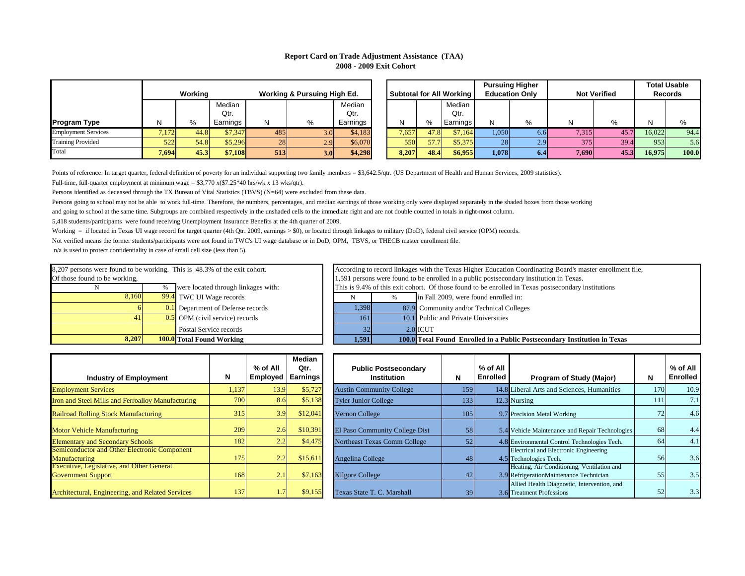|            | % of All<br><b>Employed</b> | <b>Median</b><br>Qtr.<br>Earnings | <b>Public Postsecondary</b><br><b>Institution</b> | N    | % of All<br><b>Enrolled</b> | <b>Program of Study (Major)</b>                                                       | N   | $%$ of All<br><b>Enrolled</b> |
|------------|-----------------------------|-----------------------------------|---------------------------------------------------|------|-----------------------------|---------------------------------------------------------------------------------------|-----|-------------------------------|
| 1,137      | 13.9                        | \$5,727                           | <b>Austin Community College</b>                   | 159  |                             | 14.8 Liberal Arts and Sciences, Humanities                                            | 170 | 10.9                          |
| 700        | 8.6                         | \$5,138                           | <b>Tyler Junior College</b>                       | 1331 |                             | 12.3 Nursing                                                                          | 111 | 7.1                           |
| 315        | 3.9                         | \$12,041                          | <b>Vernon College</b>                             | 105  |                             | 9.7 Precision Metal Working                                                           | 72  | 4.6                           |
| 209        | 2.6                         | \$10,391                          | El Paso Community College Dist                    | 58   |                             | 5.4 Vehicle Maintenance and Repair Technologies                                       | 68  | 4.4                           |
| 182        | 2.2                         | \$4,475                           | <b>Northeast Texas Comm College</b>               | 52   |                             | 4.8 Environmental Control Technologies Tech.                                          | 64  | 4.1                           |
| 175        | 2.2                         | \$15,611                          | Angelina College                                  | 48   |                             | <b>Electrical and Electronic Engineering</b><br>4.5 Technologies Tech.                | 56  | 3.6                           |
| <b>168</b> | 2.1                         | \$7,163                           | <b>Kilgore College</b>                            | 42   |                             | Heating, Air Conditioning, Ventilation and<br>3.9 RefrigerationMaintenance Technician | 55  | 3.5                           |
| 137        | 1.7                         | \$9,155                           | Texas State T. C. Marshall                        | 39   |                             | Allied Health Diagnostic, Intervention, and<br>3.6 Treatment Professions              | 52  | 3.3                           |

**Institution in Texas** 

| <b>Total Found Working</b>    | 1,591 |   | <b>100.0</b> Total Found Enrolled in a Public Postsecondary |
|-------------------------------|-------|---|-------------------------------------------------------------|
| Postal Service records        | 32    |   | 2.0 ICUT                                                    |
| OPM (civil service) records   | 161   |   | 10.1 Public and Private Universities                        |
| Department of Defense records | 1,398 |   | 87.9 Community and/or Technical Colleges                    |
| TWC UI Wage records           | N     | % | in Fall 2009, were found enrolled in:                       |

| 8,207                         |                                                                           | <b>100.0</b> Total Found Working             |  | 1,591 | 100.0                         |  |  |  |  |
|-------------------------------|---------------------------------------------------------------------------|----------------------------------------------|--|-------|-------------------------------|--|--|--|--|
|                               |                                                                           | Postal Service records                       |  | 32    | 2.0                           |  |  |  |  |
| 41                            |                                                                           | $\overline{0.5}$ OPM (civil service) records |  | 161   | 10.1                          |  |  |  |  |
|                               |                                                                           | <b>0.1</b> Department of Defense records     |  | 1,398 | 87.9                          |  |  |  |  |
| 8,160                         |                                                                           | <b>99.4</b> TWC UI Wage records              |  |       | $\%$                          |  |  |  |  |
|                               | $\%$                                                                      | were located through linkages with:          |  |       | This is 9.4% of this exit coh |  |  |  |  |
| Of those found to be working, |                                                                           |                                              |  |       | 1,591 persons were found to   |  |  |  |  |
|                               | 8,207 persons were found to be working. This is 48.3% of the exit cohort. |                                              |  |       |                               |  |  |  |  |

Persons going to school may not be able to work full-time. Therefore, the numbers, percentages, and median earnings of those working only were displayed separately in the shaded boxes from those working and going to school at the same time. Subgroups are combined respectively in the unshaded cells to the immediate right and are not double counted in totals in right-most column.

|                            |       |         |          |                                        |                  |          |                                 |       |      |                       |       | <b>Pursuing Higher</b> |       |                |        | <b>Total Usable</b> |
|----------------------------|-------|---------|----------|----------------------------------------|------------------|----------|---------------------------------|-------|------|-----------------------|-------|------------------------|-------|----------------|--------|---------------------|
|                            |       | Working |          | <b>Working &amp; Pursuing High Ed.</b> |                  |          | <b>Subtotal for All Working</b> |       |      | <b>Education Only</b> |       | <b>Not Verified</b>    |       | <b>Records</b> |        |                     |
|                            |       |         | Median   |                                        |                  | Median   |                                 |       |      | Median                |       |                        |       |                |        |                     |
|                            |       |         | Qtr.     |                                        |                  | Qtr.     |                                 |       |      | Qtr.                  |       |                        |       |                |        |                     |
| <b>Program Type</b>        | N     | %       | Earnings |                                        | ℅                | Earnings |                                 |       |      | <b>Earnings</b>       |       | %                      |       |                |        |                     |
| <b>Employment Services</b> | 7,172 | 44.8    | \$7,347  | 485                                    | 3.0 <sup>I</sup> | \$4,183  |                                 | 7,657 | 47.8 | \$7,164               | 0.050 | 6.6                    | 7,315 | 45.7           | 16,022 | 94.4                |
| <b>Training Provided</b>   | 522   | 54.8    | \$5,296  | 28                                     | 2.9              | \$6,070  |                                 | 550   | 57.7 | \$5,375               | 28    | 2.9                    | 375   | 39.4           | 953    | 5.6                 |
| Total                      | 7,694 | 45.3    | \$7,108  | 513                                    | 3.0 <sub>l</sub> | \$4,298  |                                 | 8,207 | 48.4 | \$6,955               | 1,078 | -6.4                   | 7,690 | 45.3           | 16,975 | 100.0               |

Points of reference: In target quarter, federal definition of poverty for an individual supporting two family members = \$3,642.5/qtr. (US Department of Health and Human Services, 2009 statistics).

Full-time, full-quarter employment at minimum wage =  $$3,770$  x( $$7.25*40$  hrs/wk x 13 wks/qtr).

Persons identified as deceased through the TX Bureau of Vital Statistics (TBVS) (N=64) were excluded from these data.

Not verified means the former students/participants were not found in TWC's UI wage database or in DoD, OPM, TBVS, or THECB master enrollment file.

n/a is used to protect confidentiality in case of small cell size (less than 5).

| <b>Industry of Employment</b>                                                 | N     | % of All<br><b>Employed</b> | <b>Median</b><br>Qtr.<br><b>Earnings</b> |
|-------------------------------------------------------------------------------|-------|-----------------------------|------------------------------------------|
| <b>Employment Services</b>                                                    | 1,137 | 13.9                        | \$5,727                                  |
| Iron and Steel Mills and Ferroalloy Manufacturing                             | 700   | 8.6                         | \$5,138                                  |
| <b>Railroad Rolling Stock Manufacturing</b>                                   | 315   | 3.9                         | \$12,041                                 |
| <b>Motor Vehicle Manufacturing</b>                                            | 209   | 2.6                         | \$10,391                                 |
| <b>Elementary and Secondary Schools</b>                                       | 182   | 2.2                         | \$4,475                                  |
| Semiconductor and Other Electronic Component<br>Manufacturing                 | 175   | 2.2                         | \$15,611                                 |
| <b>Executive, Legislative, and Other General</b><br><b>Government Support</b> | 168   | 2.1                         | \$7,163                                  |
| Architectural, Engineering, and Related Services                              | 137   | 1.7                         | \$9,155                                  |

5,418 students/participants were found receiving Unemployment Insurance Benefits at the 4th quarter of 2009.

Working = if located in Texas UI wage record for target quarter (4th Qtr. 2009, earnings > \$0), or located through linkages to military (DoD), federal civil service (OPM) records.

This is 9.4% of this exit cohort. Of those found to be enrolled in Texas postsecondary institutions 1,591 persons were found to be enrolled in a public postsecondary institution in Texas. According to record linkages with the Texas Higher Education Coordinating Board's master enrollment file,

# **Report Card on Trade Adjustment Assistance (TAA) 2008 - 2009 Exit Cohort**